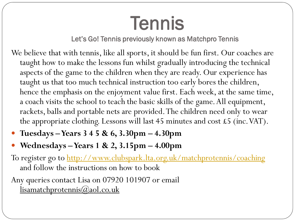## Tennis

Let's Go! Tennis previously known as Matchpro Tennis

- We believe that with tennis, like all sports, it should be fun first. Our coaches are taught how to make the lessons fun whilst gradually introducing the technical aspects of the game to the children when they are ready. Our experience has taught us that too much technical instruction too early bores the children, hence the emphasis on the enjoyment value first. Each week, at the same time, a coach visits the school to teach the basic skills of the game. All equipment, rackets, balls and portable nets are provided. The children need only to wear the appropriate clothing. Lessons will last 45 minutes and cost £5 (inc.VAT).
- **Tuesdays –Years 3 4 5 & 6, 3.30pm – 4.30pm**
- **Wednesdays –Years 1 & 2, 3.15pm – 4.00pm**

To register go to<http://www.clubspark.lta.org.uk/matchprotennis/coaching> and follow the instructions on how to book

Any queries contact Lisa on 07920 101907 or email lisamatchprotennis@aol.co.uk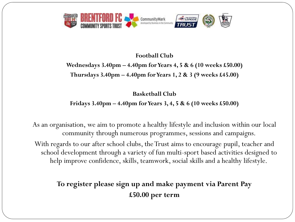

## **Football Club**

**Wednesdays 3.40pm – 4.40pm for Years 4, 5 & 6 (10 weeks £50.00) Thursdays 3.40pm – 4.40pm for Years 1, 2 & 3 (9 weeks £45.00)**

**Basketball Club**

**Fridays 3.40pm – 4.40pm for Years 3, 4, 5 & 6 (10 weeks £50.00)**

As an organisation, we aim to promote a healthy lifestyle and inclusion within our local community through numerous programmes, sessions and campaigns.

With regards to our after school clubs, the Trust aims to encourage pupil, teacher and school development through a variety of fun multi-sport based activities designed to help improve confidence, skills, teamwork, social skills and a healthy lifestyle.

**To register please sign up and make payment via Parent Pay £50.00 per term**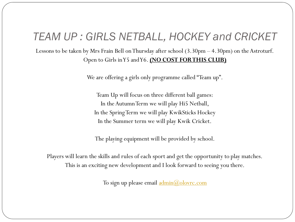## *TEAM UP : GIRLS NETBALL, HOCKEY and CRICKET*

Lessons to be taken by Mrs Frain Bell on Thursday after school (3.30pm – 4.30pm) on the Astroturf. Open to Girls in Y5 and Y6. **(NO COST FOR THIS CLUB)**

We are offering a girls only programme called "Team up".

Team Up will focus on three different ball games: In the Autumn Term we will play Hi5 Netball, In the Spring Term we will play KwikSticks Hockey In the Summer term we will play Kwik Cricket.

The playing equipment will be provided by school.

Players will learn the skills and rules of each sport and get the opportunity to play matches. This is an exciting new development and I look forward to seeing you there.

To sign up please email [admin@olovrc.com](mailto:admin@olovrc.com)